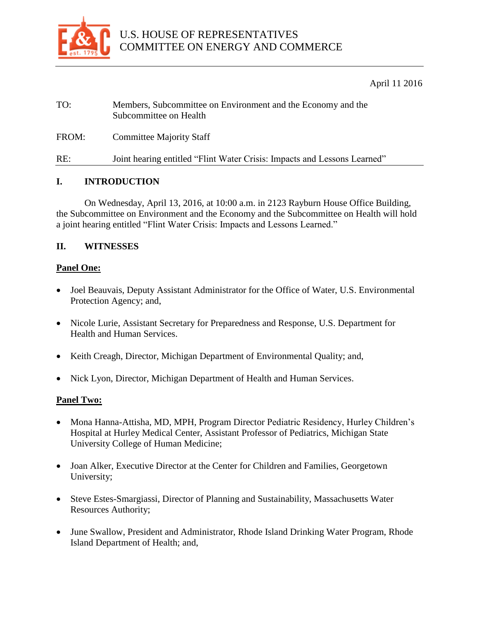

April 11 2016

| TO:   | Members, Subcommittee on Environment and the Economy and the<br>Subcommittee on Health |
|-------|----------------------------------------------------------------------------------------|
| FROM: | <b>Committee Majority Staff</b>                                                        |
| RE:   | Joint hearing entitled "Flint Water Crisis: Impacts and Lessons Learned"               |

# **I. INTRODUCTION**

On Wednesday, April 13, 2016, at 10:00 a.m. in 2123 Rayburn House Office Building, the Subcommittee on Environment and the Economy and the Subcommittee on Health will hold a joint hearing entitled "Flint Water Crisis: Impacts and Lessons Learned."

### **II. WITNESSES**

### **Panel One:**

- Joel Beauvais, Deputy Assistant Administrator for the Office of Water, U.S. Environmental Protection Agency; and,
- Nicole Lurie, Assistant Secretary for Preparedness and Response, U.S. Department for Health and Human Services.
- Keith Creagh, Director, Michigan Department of Environmental Quality; and,
- Nick Lyon, Director, Michigan Department of Health and Human Services.

### **Panel Two:**

- Mona Hanna-Attisha, MD, MPH, Program Director Pediatric Residency, Hurley Children's Hospital at Hurley Medical Center, Assistant Professor of Pediatrics, Michigan State University College of Human Medicine;
- Joan Alker, Executive Director at the Center for Children and Families, Georgetown University;
- Steve Estes-Smargiassi, Director of Planning and Sustainability, Massachusetts Water Resources Authority;
- June Swallow, President and Administrator, Rhode Island Drinking Water Program, Rhode Island Department of Health; and,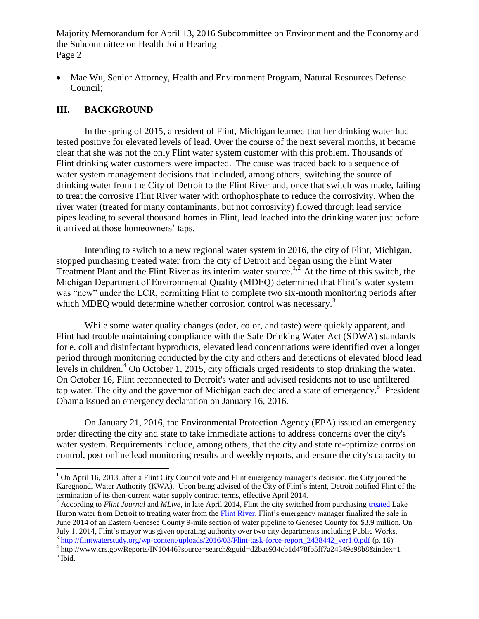• Mae Wu, Senior Attorney, Health and Environment Program, Natural Resources Defense Council;

# **III. BACKGROUND**

In the spring of 2015, a resident of Flint, Michigan learned that her drinking water had tested positive for elevated levels of lead. Over the course of the next several months, it became clear that she was not the only Flint water system customer with this problem. Thousands of Flint drinking water customers were impacted. The cause was traced back to a sequence of water system management decisions that included, among others, switching the source of drinking water from the City of Detroit to the Flint River and, once that switch was made, failing to treat the corrosive Flint River water with orthophosphate to reduce the corrosivity. When the river water (treated for many contaminants, but not corrosivity) flowed through lead service pipes leading to several thousand homes in Flint, lead leached into the drinking water just before it arrived at those homeowners' taps.

Intending to switch to a new regional water system in 2016, the city of Flint, Michigan, stopped purchasing treated water from the city of Detroit and began using the Flint Water Treatment Plant and the Flint River as its interim water source.<sup>1,2</sup> At the time of this switch, the Michigan Department of Environmental Quality (MDEQ) determined that Flint's water system was "new" under the LCR, permitting Flint to complete two six-month monitoring periods after which MDEQ would determine whether corrosion control was necessary.<sup>3</sup>

While some water quality changes (odor, color, and taste) were quickly apparent, and Flint had trouble maintaining compliance with the Safe Drinking Water Act (SDWA) standards for e. coli and disinfectant byproducts, elevated lead concentrations were identified over a longer period through monitoring conducted by the [city](http://www.epa.gov/flint/epa-safe-drinking-water-act-emergency-order) and [others](http://flintwaterstudy.org/) and detections of elevated blood lead levels in children.<sup>4</sup> On October 1, 2015, city officials urged residents to [stop drinking the water.](http://www.michigan.gov/snyder/0,4668,7-277--374050--,00.html) On October 16, Flint [reconnected to Detroit's water](http://www.michigan.gov/snyder/0,4668,7-277--374050--,00.html) and advised residents not to use unfiltered tap water. The city and the governor of Michigan each declared a state of emergency.<sup>5</sup> President Obama issued an [emergency declaration](https://www.fema.gov/news-release/2016/01/16/federal-aid-programs-state-michigan-emergency-declaration) on January 16, 2016.

On January 21, 2016, [the Environmental Protection Agency \(EPA\) issued an emergency](http://www.epa.gov/flint/epa-safe-drinking-water-act-emergency-order)  [order](http://www.epa.gov/flint/epa-safe-drinking-water-act-emergency-order) directing the city and state to take immediate actions to address concerns over the city's water system. Requirements include, among others, that the city and state re-optimize corrosion control, post online lead monitoring results and weekly reports, and ensure the city's capacity to

 $\overline{a}$ 

 $1$  On April 16, 2013, after a Flint City Council vote and Flint emergency manager's decision, the City joined the Karegnondi Water Authority (KWA). Upon being advised of the City of Flint's intent, Detroit notified Flint of the termination of its then-current water supply contract terms, effective April 2014.

<sup>2</sup> According to *Flint Journal* and *MLive*, in late April 2014, Flint the city switched from purchasing [treated](https://en.wikipedia.org/wiki/Water_treatment) Lake Huron water from Detroit to treating water from the [Flint River.](https://en.wikipedia.org/wiki/Flint_River_%28Michigan%29) Flint's emergency manager finalized the sale in June 2014 of an Eastern Genesee County 9-mile section of water pipeline to Genesee County for \$3.9 million. On July 1, 2014, Flint's mayor was given operating authority over two city departments including Public Works. <sup>3</sup> [http://flintwaterstudy.org/wp-content/uploads/2016/03/Flint-task-force-report\\_2438442\\_ver1.0.pdf](http://flintwaterstudy.org/wp-content/uploads/2016/03/Flint-task-force-report_2438442_ver1.0.pdf) (p. 16)

<sup>&</sup>lt;sup>4</sup> http://www.crs.gov/Reports/IN10446?source=search&guid=d2bae934cb1d478fb5ff7a24349e98b8&index=1

<sup>5</sup> Ibid.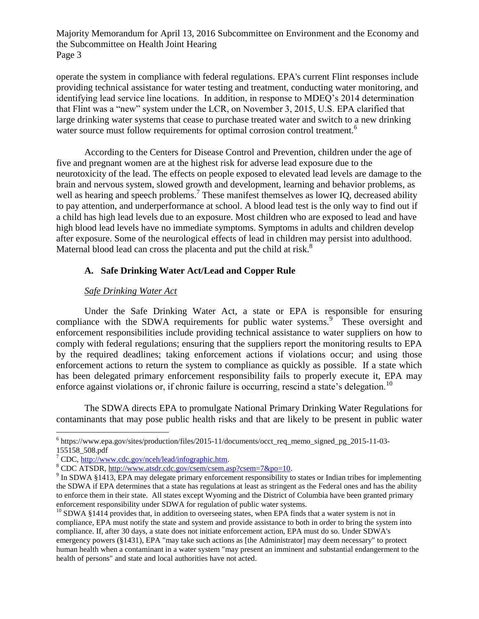operate the system in compliance with federal regulations. [EPA's current Flint responses](http://www.epa.gov/flint) include providing technical assistance for water testing and treatment, [conducting water monitoring,](http://www.epa.gov/flint/flint-water-sampling-efforts) and identifying lead service line locations. In addition, in response to MDEQ's 2014 determination that Flint was a "new" system under the LCR, on November 3, 2015, U.S. EPA clarified that large drinking water systems that cease to purchase treated water and switch to a new drinking water source must follow requirements for optimal corrosion control treatment.<sup>6</sup>

According to the Centers for Disease Control and Prevention, children under the age of five and pregnant women are at the highest risk for adverse lead exposure due to the neurotoxicity of the lead. The effects on people exposed to elevated lead levels are damage to the brain and nervous system, slowed growth and development, learning and behavior problems, as well as hearing and speech problems.<sup>7</sup> These manifest themselves as lower IQ, decreased ability to pay attention, and underperformance at school. A blood lead test is the only way to find out if a child has high lead levels due to an exposure. Most children who are exposed to lead and have high blood lead levels have no immediate symptoms. Symptoms in adults and children develop after exposure. Some of the neurological effects of lead in children may persist into adulthood. Maternal blood lead can cross the placenta and put the child at risk.<sup>8</sup>

# **A. Safe Drinking Water Act/Lead and Copper Rule**

### *Safe Drinking Water Act*

Under the Safe Drinking Water Act, a state or EPA is responsible for ensuring compliance with the SDWA requirements for public water systems.<sup>9</sup> These oversight and enforcement responsibilities include providing technical assistance to water suppliers on how to comply with federal regulations; ensuring that the suppliers report the monitoring results to EPA by the required deadlines; taking enforcement actions if violations occur; and using those enforcement actions to return the system to compliance as quickly as possible. If a state which has been delegated primary enforcement responsibility fails to properly execute it, EPA may enforce against violations or, if chronic failure is occurring, rescind a state's delegation.<sup>10</sup>

The SDWA directs EPA to promulgate National Primary Drinking Water Regulations for contaminants that may pose public health risks and that are likely to be present in public water

 $\overline{a}$ 

<sup>&</sup>lt;sup>6</sup> https://www.epa.gov/sites/production/files/2015-11/documents/occt\_req\_memo\_signed\_pg\_2015-11-03-155158\_508.pdf

 $7^{\circ}$  CDC, [http://www.cdc.gov/nceh/lead/infographic.htm.](http://www.cdc.gov/nceh/lead/infographic.htm)

<sup>8</sup> CDC ATSDR, [http://www.atsdr.cdc.gov/csem/csem.asp?csem=7&po=10.](http://www.atsdr.cdc.gov/csem/csem.asp?csem=7&po=10)

<sup>&</sup>lt;sup>9</sup> In SDWA §1413, EPA may delegate primary enforcement responsibility to states or Indian tribes for implementing the SDWA if EPA determines that a state has regulations at least as stringent as the Federal ones and has the ability to enforce them in their state. All states except Wyoming and the District of Columbia have been granted primary enforcement responsibility under SDWA for regulation of public water systems.

 $10$  SDWA §1414 provides that, in addition to overseeing states, when EPA finds that a water system is not in compliance, EPA must notify the state and system and provide assistance to both in order to bring the system into compliance. If, after 30 days, a state does not initiate enforcement action, EPA must do so. Under SDWA's emergency powers (§1431), EPA "may take such actions as [the Administrator] may deem necessary" to protect human health when a contaminant in a water system "may present an imminent and substantial endangerment to the health of persons" and state and local authorities have not acted.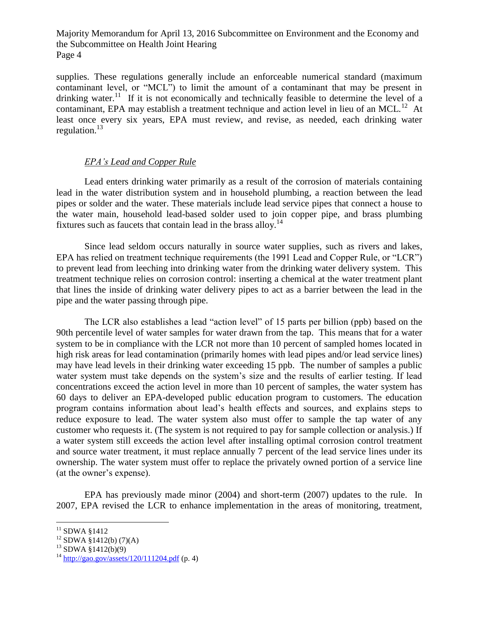supplies. These regulations generally include an enforceable numerical standard (maximum contaminant level, or "MCL") to limit the amount of a contaminant that may be present in drinking water.<sup>11</sup> If it is not economically and technically feasible to determine the level of a contaminant, EPA may establish a treatment technique and action level in lieu of an MCL.<sup>12</sup> At least once every six years, EPA must review, and revise, as needed, each drinking water regulation. $^{13}$ 

# *EPA's Lead and Copper Rule*

Lead enters drinking water primarily as a result of the corrosion of materials containing lead in the water distribution system and in household plumbing, a reaction between the lead pipes or solder and the water. These materials include lead service pipes that connect a house to the water main, household lead-based solder used to join copper pipe, and brass plumbing fixtures such as faucets that contain lead in the brass alloy.<sup>14</sup>

Since lead seldom occurs naturally in source water supplies, such as rivers and lakes, EPA has relied on treatment technique requirements (the 1991 Lead and Copper Rule, or "LCR") to prevent lead from leeching into drinking water from the drinking water delivery system. This treatment technique relies on corrosion control: inserting a chemical at the water treatment plant that lines the inside of drinking water delivery pipes to act as a barrier between the lead in the pipe and the water passing through pipe.

The LCR also establishes a lead "action level" of 15 parts per billion (ppb) based on the 90th percentile level of water samples for water drawn from the tap. This means that for a water system to be in compliance with the LCR not more than 10 percent of sampled homes located in high risk areas for lead contamination (primarily homes with lead pipes and/or lead service lines) may have lead levels in their drinking water exceeding 15 ppb. The number of samples a public water system must take depends on the system's size and the results of earlier testing. If lead concentrations exceed the action level in more than 10 percent of samples, the water system has 60 days to deliver an EPA-developed public education program to customers. The education program contains information about lead's health effects and sources, and explains steps to reduce exposure to lead. The water system also must offer to sample the tap water of any customer who requests it. (The system is not required to pay for sample collection or analysis.) If a water system still exceeds the action level after installing optimal corrosion control treatment and source water treatment, it must replace annually 7 percent of the lead service lines under its ownership. The water system must offer to replace the privately owned portion of a service line (at the owner's expense).

EPA has previously made minor (2004) and short-term (2007) updates to the rule. In 2007, EPA revised the LCR to enhance implementation in the areas of monitoring, treatment,

 $\overline{a}$  $11$  SDWA §1412

 $12$  SDWA §1412(b) (7)(A)

 $13$  SDWA  $\frac{8}{1412(b)(9)}$ 

 $^{14}$  <http://gao.gov/assets/120/111204.pdf> (p. 4)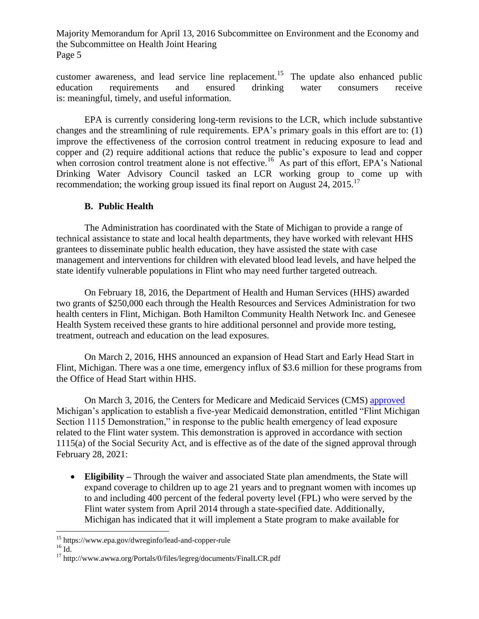customer awareness, and lead service line replacement.<sup>15</sup> The update also enhanced public education requirements and ensured drinking water consumers receive is: meaningful, timely, and useful information.

EPA is currently considering long-term revisions to the LCR, which include substantive changes and the streamlining of rule requirements. EPA's primary goals in this effort are to: (1) improve the effectiveness of the corrosion control treatment in reducing exposure to lead and copper and (2) require additional actions that reduce the public's exposure to lead and copper when corrosion control treatment alone is not effective.<sup>16</sup> As part of this effort, EPA's National Drinking Water Advisory Council tasked an LCR working group to come up with recommendation; the working group issued its final report on August  $24$ ,  $2015$ .<sup>17</sup>

### **B. Public Health**

The Administration has coordinated with the State of Michigan to provide a range of technical assistance to state and local health departments, they have worked with relevant HHS grantees to disseminate public health education, they have assisted the state with case management and interventions for children with elevated blood lead levels, and have helped the state identify vulnerable populations in Flint who may need further targeted outreach.

On February 18, 2016, the Department of Health and Human Services (HHS) awarded two grants of \$250,000 each through the Health Resources and Services Administration for two health centers in Flint, Michigan. Both Hamilton Community Health Network Inc. and Genesee Health System received these grants to hire additional personnel and provide more testing, treatment, outreach and education on the lead exposures.

On March 2, 2016, HHS announced an expansion of Head Start and Early Head Start in Flint, Michigan. There was a one time, emergency influx of \$3.6 million for these programs from the Office of Head Start within HHS.

On March 3, 2016, the Centers for Medicare and Medicaid Services (CMS) [approved](https://www.medicaid.gov/Medicaid-CHIP-Program-Information/By-Topics/Waivers/1115/downloads/mi/mi-health-impacts-potential-lead-exposure-ca.pdf) Michigan's application to establish a five-year Medicaid demonstration, entitled "Flint Michigan Section 1115 Demonstration," in response to the public health emergency of lead exposure related to the Flint water system. This demonstration is approved in accordance with section 1115(a) of the Social Security Act, and is effective as of the date of the signed approval through February 28, 2021:

 **Eligibility –** Through the waiver and associated State plan amendments, the State will expand coverage to children up to age 21 years and to pregnant women with incomes up to and including 400 percent of the federal poverty level (FPL) who were served by the Flint water system from April 2014 through a state-specified date. Additionally, Michigan has indicated that it will implement a State program to make available for

 $\overline{a}$ <sup>15</sup> https://www.epa.gov/dwreginfo/lead-and-copper-rule

 $16 \text{ Id.}$ 

<sup>17</sup> http://www.awwa.org/Portals/0/files/legreg/documents/FinalLCR.pdf